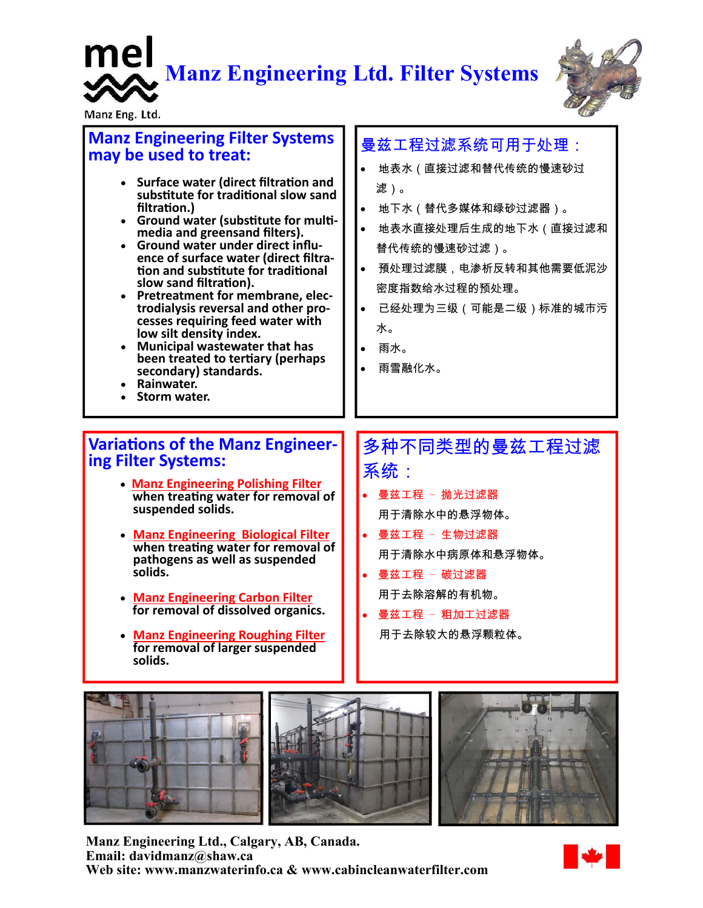## mel **Manz Engineering Ltd. Filter Systems**  Manz Eng. Ltd.



| <b>Manz Engineering Filter Systems</b><br>may be used to treat:<br>• Surface water (direct filtration and<br>substitute for traditional slow sand<br>filtration.)<br>• Ground water (substitute for multi-<br>media and greensand filters).<br>Ground water under direct influ-<br>ence of surface water (direct filtra-<br>tion and substitute for traditional<br>slow sand filtration).<br>• Pretreatment for membrane, elec-<br>trodialysis reversal and other pro-<br>cesses requiring feed water with<br>low silt density index.<br>• Municipal wastewater that has<br>been treated to tertiary (perhaps<br>secondary) standards.<br>Rainwater.<br>Storm water. | 曼兹工程过滤系统可用于处理:<br>地表水 (直接过滤和替代传统的慢速砂过<br>滤)。<br>地下水 (替代多媒体和绿砂过滤器)。<br>地表水直接处理后生成的地下水 (直接过滤和<br>替代传统的慢速砂过滤)。<br>預处理过滤膜,电渗析反转和其他需要低泥沙<br>$\bullet$<br>密度指数给水过程的预处理。<br>已经处理为三级 (可能是二级) 标准的城市污<br>$\bullet$<br>水。<br>雨水。<br>雨雪融化水。 |
|----------------------------------------------------------------------------------------------------------------------------------------------------------------------------------------------------------------------------------------------------------------------------------------------------------------------------------------------------------------------------------------------------------------------------------------------------------------------------------------------------------------------------------------------------------------------------------------------------------------------------------------------------------------------|---------------------------------------------------------------------------------------------------------------------------------------------------------------------------------------------------------------------------------|
| <b>Variations of the Manz Engineer-</b><br>ing Filter Systems:<br>• Manz Engineering Polishing Filter<br>when treating water for removal of<br>suspended solids.<br><b>Manz Engineering Biological Filter</b><br>when treating water for removal of<br>pathogens as well as suspended<br>solids.<br><b>Manz Engineering Carbon Filter</b><br>for removal of dissolved organics.<br>• Manz Engineering Roughing Filter<br>for removal of larger suspended<br>solids.                                                                                                                                                                                                  | 多种不同类型的曼兹工程过滤<br>系统:<br>曼兹工程 - 抛光过滤器<br>用于清除水中的悬浮物体。<br>曼兹工程 - 生物过滤器<br>用于清除水中病原体和悬浮物体。<br>曼兹工程 - 碳过滤器<br>用于去除溶解的有机物。<br>曼兹工程 - 粗加工过滤器<br>用于去除较大的悬浮颗粒体。                                                                         |

**Manz Engineering Ltd., Calgary, AB, Canada. Email: davidmanz@shaw.ca Web site: www.manzwaterinfo.ca & www.cabincleanwaterfilter.com**